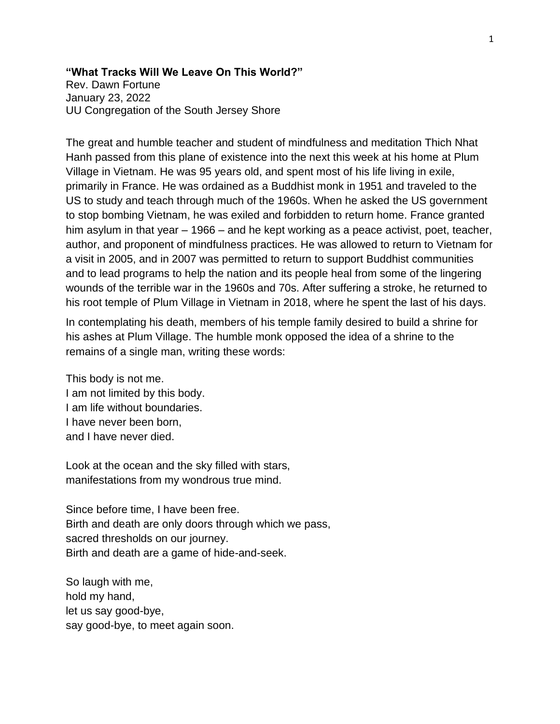## **"What Tracks Will We Leave On This World?"**

Rev. Dawn Fortune January 23, 2022 UU Congregation of the South Jersey Shore

The great and humble teacher and student of mindfulness and meditation Thich Nhat Hanh passed from this plane of existence into the next this week at his home at Plum Village in Vietnam. He was 95 years old, and spent most of his life living in exile, primarily in France. He was ordained as a Buddhist monk in 1951 and traveled to the US to study and teach through much of the 1960s. When he asked the US government to stop bombing Vietnam, he was exiled and forbidden to return home. France granted him asylum in that year – 1966 – and he kept working as a peace activist, poet, teacher, author, and proponent of mindfulness practices. He was allowed to return to Vietnam for a visit in 2005, and in 2007 was permitted to return to support Buddhist communities and to lead programs to help the nation and its people heal from some of the lingering wounds of the terrible war in the 1960s and 70s. After suffering a stroke, he returned to his root temple of Plum Village in Vietnam in 2018, where he spent the last of his days.

In contemplating his death, members of his temple family desired to build a shrine for his ashes at Plum Village. The humble monk opposed the idea of a shrine to the remains of a single man, writing these words:

This body is not me. I am not limited by this body. I am life without boundaries. I have never been born, and I have never died.

Look at the ocean and the sky filled with stars, manifestations from my wondrous true mind.

Since before time, I have been free. Birth and death are only doors through which we pass, sacred thresholds on our journey. Birth and death are a game of hide-and-seek.

So laugh with me, hold my hand, let us say good-bye, say good-bye, to meet again soon.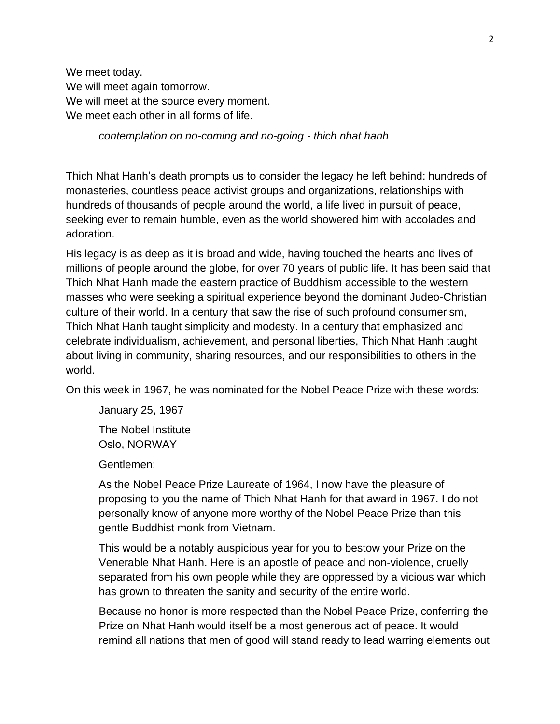We meet today. We will meet again tomorrow. We will meet at the source every moment. We meet each other in all forms of life.

*contemplation on no-coming and no-going - thich nhat hanh*

Thich Nhat Hanh's death prompts us to consider the legacy he left behind: hundreds of monasteries, countless peace activist groups and organizations, relationships with hundreds of thousands of people around the world, a life lived in pursuit of peace, seeking ever to remain humble, even as the world showered him with accolades and adoration.

His legacy is as deep as it is broad and wide, having touched the hearts and lives of millions of people around the globe, for over 70 years of public life. It has been said that Thich Nhat Hanh made the eastern practice of Buddhism accessible to the western masses who were seeking a spiritual experience beyond the dominant Judeo-Christian culture of their world. In a century that saw the rise of such profound consumerism, Thich Nhat Hanh taught simplicity and modesty. In a century that emphasized and celebrate individualism, achievement, and personal liberties, Thich Nhat Hanh taught about living in community, sharing resources, and our responsibilities to others in the world.

On this week in 1967, he was nominated for the Nobel Peace Prize with these words:

January 25, 1967

The Nobel Institute Oslo, NORWAY

Gentlemen:

As the Nobel Peace Prize Laureate of 1964, I now have the pleasure of proposing to you the name of Thich Nhat Hanh for that award in 1967. I do not personally know of anyone more worthy of the Nobel Peace Prize than this gentle Buddhist monk from Vietnam.

This would be a notably auspicious year for you to bestow your Prize on the Venerable Nhat Hanh. Here is an apostle of peace and non-violence, cruelly separated from his own people while they are oppressed by a vicious war which has grown to threaten the sanity and security of the entire world.

Because no honor is more respected than the Nobel Peace Prize, conferring the Prize on Nhat Hanh would itself be a most generous act of peace. It would remind all nations that men of good will stand ready to lead warring elements out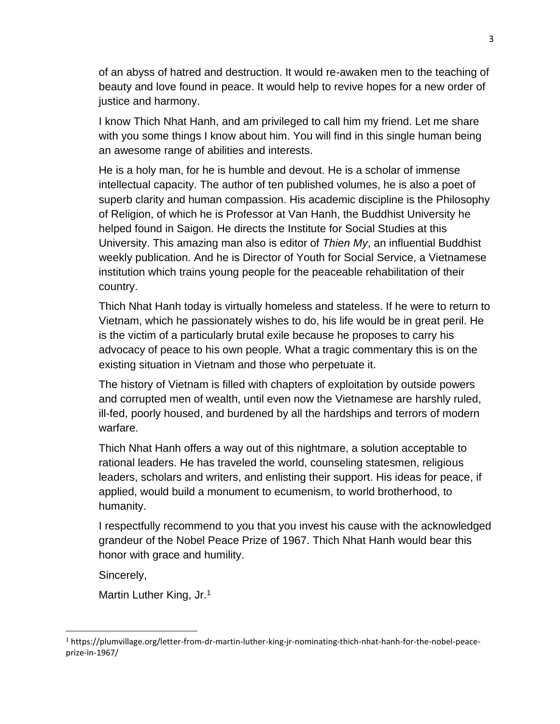of an abyss of hatred and destruction. It would re-awaken men to the teaching of beauty and love found in peace. It would help to revive hopes for a new order of justice and harmony.

I know Thich Nhat Hanh, and am privileged to call him my friend. Let me share with you some things I know about him. You will find in this single human being an awesome range of abilities and interests.

He is a holy man, for he is humble and devout. He is a scholar of immense intellectual capacity. The author of ten published volumes, he is also a poet of superb clarity and human compassion. His academic discipline is the Philosophy of Religion, of which he is Professor at Van Hanh, the Buddhist University he helped found in Saigon. He directs the Institute for Social Studies at this University. This amazing man also is editor of *Thien My*, an influential Buddhist weekly publication. And he is Director of Youth for Social Service, a Vietnamese institution which trains young people for the peaceable rehabilitation of their country.

Thich Nhat Hanh today is virtually homeless and stateless. If he were to return to Vietnam, which he passionately wishes to do, his life would be in great peril. He is the victim of a particularly brutal exile because he proposes to carry his advocacy of peace to his own people. What a tragic commentary this is on the existing situation in Vietnam and those who perpetuate it.

The history of Vietnam is filled with chapters of exploitation by outside powers and corrupted men of wealth, until even now the Vietnamese are harshly ruled, ill-fed, poorly housed, and burdened by all the hardships and terrors of modern warfare.

Thich Nhat Hanh offers a way out of this nightmare, a solution acceptable to rational leaders. He has traveled the world, counseling statesmen, religious leaders, scholars and writers, and enlisting their support. His ideas for peace, if applied, would build a monument to ecumenism, to world brotherhood, to humanity.

I respectfully recommend to you that you invest his cause with the acknowledged grandeur of the Nobel Peace Prize of 1967. Thich Nhat Hanh would bear this honor with grace and humility.

Sincerely,

Martin Luther King, Jr.<sup>1</sup>

<sup>1</sup> https://plumvillage.org/letter-from-dr-martin-luther-king-jr-nominating-thich-nhat-hanh-for-the-nobel-peaceprize-in-1967/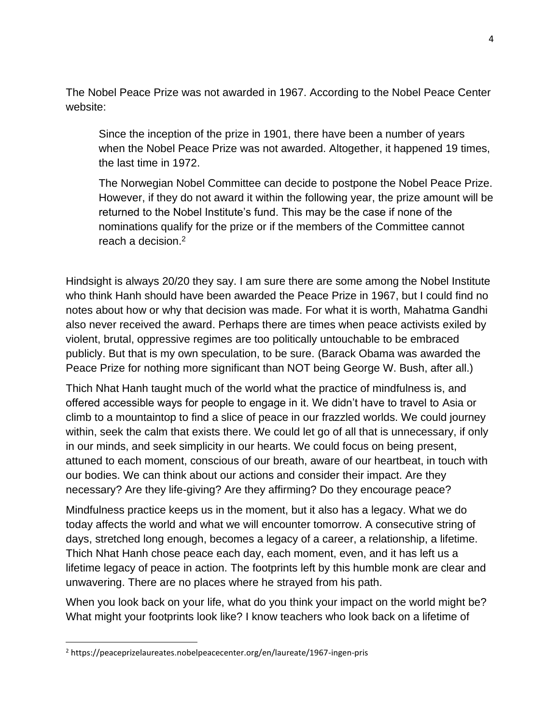The Nobel Peace Prize was not awarded in 1967. According to the Nobel Peace Center website:

Since the inception of the prize in 1901, there have been a number of years when the Nobel Peace Prize was not awarded. Altogether, it happened 19 times, the last time in 1972.

The Norwegian Nobel Committee can decide to postpone the Nobel Peace Prize. However, if they do not award it within the following year, the prize amount will be returned to the Nobel Institute's fund. This may be the case if none of the nominations qualify for the prize or if the members of the Committee cannot reach a decision.<sup>2</sup>

Hindsight is always 20/20 they say. I am sure there are some among the Nobel Institute who think Hanh should have been awarded the Peace Prize in 1967, but I could find no notes about how or why that decision was made. For what it is worth, Mahatma Gandhi also never received the award. Perhaps there are times when peace activists exiled by violent, brutal, oppressive regimes are too politically untouchable to be embraced publicly. But that is my own speculation, to be sure. (Barack Obama was awarded the Peace Prize for nothing more significant than NOT being George W. Bush, after all.)

Thich Nhat Hanh taught much of the world what the practice of mindfulness is, and offered accessible ways for people to engage in it. We didn't have to travel to Asia or climb to a mountaintop to find a slice of peace in our frazzled worlds. We could journey within, seek the calm that exists there. We could let go of all that is unnecessary, if only in our minds, and seek simplicity in our hearts. We could focus on being present, attuned to each moment, conscious of our breath, aware of our heartbeat, in touch with our bodies. We can think about our actions and consider their impact. Are they necessary? Are they life-giving? Are they affirming? Do they encourage peace?

Mindfulness practice keeps us in the moment, but it also has a legacy. What we do today affects the world and what we will encounter tomorrow. A consecutive string of days, stretched long enough, becomes a legacy of a career, a relationship, a lifetime. Thich Nhat Hanh chose peace each day, each moment, even, and it has left us a lifetime legacy of peace in action. The footprints left by this humble monk are clear and unwavering. There are no places where he strayed from his path.

When you look back on your life, what do you think your impact on the world might be? What might your footprints look like? I know teachers who look back on a lifetime of

<sup>2</sup> https://peaceprizelaureates.nobelpeacecenter.org/en/laureate/1967-ingen-pris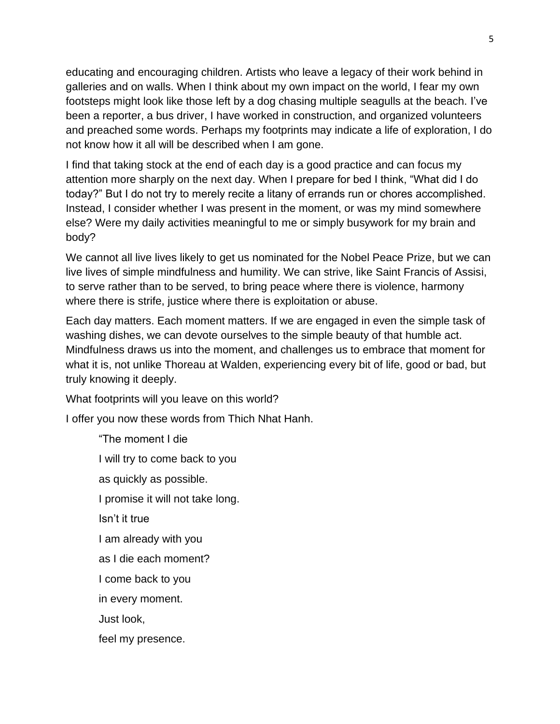educating and encouraging children. Artists who leave a legacy of their work behind in galleries and on walls. When I think about my own impact on the world, I fear my own footsteps might look like those left by a dog chasing multiple seagulls at the beach. I've been a reporter, a bus driver, I have worked in construction, and organized volunteers and preached some words. Perhaps my footprints may indicate a life of exploration, I do not know how it all will be described when I am gone.

I find that taking stock at the end of each day is a good practice and can focus my attention more sharply on the next day. When I prepare for bed I think, "What did I do today?" But I do not try to merely recite a litany of errands run or chores accomplished. Instead, I consider whether I was present in the moment, or was my mind somewhere else? Were my daily activities meaningful to me or simply busywork for my brain and body?

We cannot all live lives likely to get us nominated for the Nobel Peace Prize, but we can live lives of simple mindfulness and humility. We can strive, like Saint Francis of Assisi, to serve rather than to be served, to bring peace where there is violence, harmony where there is strife, justice where there is exploitation or abuse.

Each day matters. Each moment matters. If we are engaged in even the simple task of washing dishes, we can devote ourselves to the simple beauty of that humble act. Mindfulness draws us into the moment, and challenges us to embrace that moment for what it is, not unlike Thoreau at Walden, experiencing every bit of life, good or bad, but truly knowing it deeply.

What footprints will you leave on this world?

I offer you now these words from Thich Nhat Hanh.

"The moment I die I will try to come back to you as quickly as possible. I promise it will not take long. Isn't it true I am already with you as I die each moment? I come back to you in every moment. Just look, feel my presence.